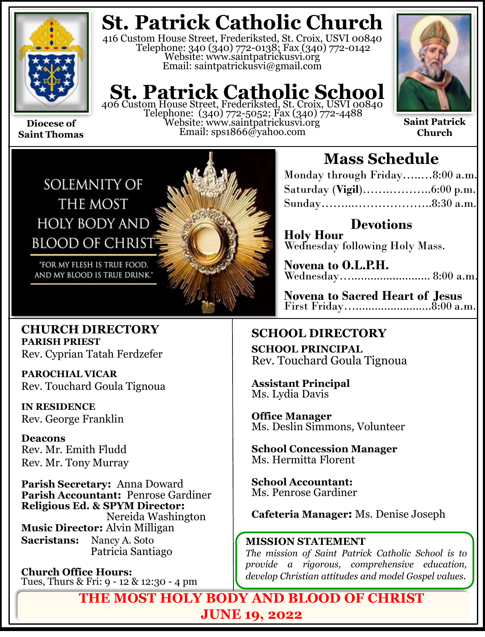

**Saint Thomas**

# **St. Patrick Catholic Church**

416 Custom House Street, Frederiksted, St. Croix, USVI 00840 Telephone: 340 (340) 772-0138; Fax (340) 772-0142 Website: www.saintpatrickusvi.org Email: saintpatrickusvi@gmail.com

# **St. Patrick Catholic School** 406 Custom House Street, Frederiksted, St. Croix, USVI 00840

Telephone: (340) 772-5052; Fax (340) 772-4488 Website: www.saintpatrickusvi.org Email: sps1866@yahoo.com



**Saint Patrick Church**



## **Mass Schedule**

| Monday through Friday8:00 a.m. |  |
|--------------------------------|--|
|                                |  |
|                                |  |

**Devotions Holy Hour**  Wednesday following Holy Mass.

**Novena to O.L.P.H.** Wednesday…......................... 8:00 a.m.

**Novena to Sacred Heart of Jesus** First Friday…........................8:00 a.m.

## **SCHOOL DIRECTORY**

**SCHOOL PRINCIPAL** Rev. Touchard Goula Tignoua

**Assistant Principal** Ms. Lydia Davis

**Office Manager** Ms. Deslin Simmons, Volunteer

**School Concession Manager** Ms. Hermitta Florent

**School Accountant:**  Ms. Penrose Gardiner

**Cafeteria Manager:** Ms. Denise Joseph

### **MISSION STATEMENT**

*The mission of Saint Patrick Catholic School is to provide a rigorous, comprehensive education, develop Christian attitudes and model Gospel values.*

**THE MOST HOLY BODY AND BLOOD OF CHRIST JUNE 19, 2022**

**CHURCH DIRECTORY PARISH PRIEST** Rev. Cyprian Tatah Ferdzefer

**PAROCHIAL VICAR** Rev. Touchard Goula Tignoua

**IN RESIDENCE** Rev. George Franklin

**Deacons** Rev. Mr. Emith Fludd Rev. Mr. Tony Murray

**Parish Secretary:** Anna Doward **Parish Accountant:** Penrose Gardiner **Religious Ed. & SPYM Director:**  Nereida Washington **Music Director:** Alvin Milligan **Sacristans:** Nancy A. Soto Patricia Santiago

**Church Office Hours:**  Tues, Thurs & Fri: 9 - 12 & 12:30 - 4 pm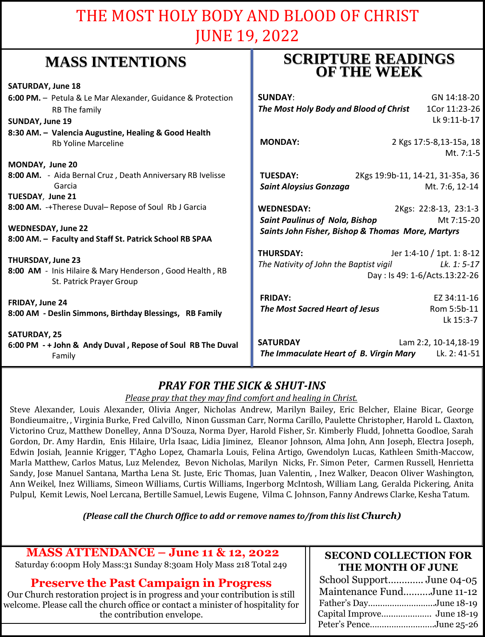## THE MOST HOLY BODY AND BLOOD OF CHRIST JUNE 19, 2022

## **MASS INTENTIONS**

| whapp hat his true of                                                                | <b>OF THE WEEK</b>                                      |
|--------------------------------------------------------------------------------------|---------------------------------------------------------|
| <b>SATURDAY, June 18</b>                                                             |                                                         |
| 6:00 PM. - Petula & Le Mar Alexander, Guidance & Protection                          | <b>SUNDAY:</b><br>GN 14:18-20                           |
| RB The family                                                                        | The Most Holy Body and Blood of Christ<br>1Cor 11:23-26 |
| <b>SUNDAY, June 19</b>                                                               | Lk 9:11-b-17                                            |
| 8:30 AM. - Valencia Augustine, Healing & Good Health                                 |                                                         |
| <b>Rb Yoline Marceline</b>                                                           | <b>MONDAY:</b><br>2 Kgs 17:5-8,13-15a, 18               |
|                                                                                      | Mt. 7:1-5                                               |
| MONDAY, June 20                                                                      |                                                         |
| 8:00 AM. - Aida Bernal Cruz, Death Anniversary RB Ivelisse                           | 2Kgs 19:9b-11, 14-21, 31-35a, 36<br><b>TUESDAY:</b>     |
| Garcia                                                                               | <b>Saint Aloysius Gonzaga</b><br>Mt. 7:6, 12-14         |
| TUESDAY, June 21                                                                     |                                                         |
| 8:00 AM. -+Therese Duval-Repose of Soul Rb J Garcia                                  | <b>WEDNESDAY:</b><br>2Kgs: 22:8-13, 23:1-3              |
|                                                                                      | <b>Saint Paulinus of Nola, Bishop</b><br>Mt 7:15-20     |
| <b>WEDNESDAY, June 22</b><br>8:00 AM. - Faculty and Staff St. Patrick School RB SPAA | Saints John Fisher, Bishop & Thomas More, Martyrs       |
|                                                                                      |                                                         |
| THURSDAY, June 23                                                                    | <b>THURSDAY:</b><br>Jer 1:4-10 / 1pt. 1: 8-12           |
| 8:00 AM - Inis Hilaire & Mary Henderson, Good Health, RB                             | The Nativity of John the Baptist vigil<br>Lk. 1: 5-17   |
| St. Patrick Prayer Group                                                             | Day: Is 49: 1-6/Acts.13:22-26                           |
| FRIDAY, June 24                                                                      | <b>FRIDAY:</b><br>EZ 34:11-16                           |
| 8:00 AM - Deslin Simmons, Birthday Blessings, RB Family                              | Rom 5:5b-11<br>The Most Sacred Heart of Jesus           |
|                                                                                      | Lk 15:3-7                                               |
| <b>SATURDAY, 25</b>                                                                  |                                                         |
| 6:00 PM - + John & Andy Duval, Repose of Soul RB The Duval                           | <b>SATURDAY</b><br>Lam 2:2, 10-14, 18-19                |
| Family                                                                               | The Immaculate Heart of B. Virgin Mary<br>Lk. 2: 41-51  |
|                                                                                      |                                                         |

## *PRAY FOR THE SICK & SHUT-INS*

*Please pray that they may find comfort and healing in Christ.*

Steve Alexander, Louis Alexander, Olivia Anger, Nicholas Andrew, Marilyn Bailey, Eric Belcher, Elaine Bicar, George Bondieumaitre, , Virginia Burke, Fred Calvillo, Ninon Gussman Carr, Norma Carillo, Paulette Christopher, Harold L. Claxton, Victorino Cruz, Matthew Donelley, Anna D'Souza, Norma Dyer, Harold Fisher, Sr. Kimberly Fludd, Johnetta Goodloe, Sarah Gordon, Dr. Amy Hardin, Enis Hilaire, Urla Isaac, Lidia Jiminez, Eleanor Johnson, Alma John, Ann Joseph, Electra Joseph, Edwin Josiah, Jeannie Krigger, T'Agho Lopez, Chamarla Louis, Felina Artigo, Gwendolyn Lucas, Kathleen Smith-Maccow, Marla Matthew, Carlos Matus, Luz Melendez, Bevon Nicholas, Marilyn Nicks, Fr. Simon Peter, Carmen Russell, Henrietta Sandy, Jose Manuel Santana, Martha Lena St. Juste, Eric Thomas, Juan Valentin, , Inez Walker, Deacon Oliver Washington, Ann Weikel, Inez Williams, Simeon Williams, Curtis Williams, Ingerborg McIntosh, William Lang, Geralda Pickering, Anita Pulpul, Kemit Lewis, Noel Lercana, Bertille Samuel, Lewis Eugene, Vilma C. Johnson, Fanny Andrews Clarke, Kesha Tatum.

*(Please call the Church Office to add or remove names to/from this list Church)*

## **MASS ATTENDANCE – June 11 & 12, 2022**

Saturday 6:00pm Holy Mass:31 Sunday 8:30am Holy Mass 218 Total 249

## **Preserve the Past Campaign in Progress**

Our Church restoration project is in progress and your contribution is still welcome. Please call the church office or contact a minister of hospitality for the contribution envelope.

## **SECOND COLLECTION FOR THE MONTH OF JUNE**

**SCRIPTURE READINGS** 

| School SupportJune 04-05   |  |
|----------------------------|--|
| Maintenance FundJune 11-12 |  |
| Father's DayJune 18-19     |  |
|                            |  |
| Peter's PenceJune 25-26    |  |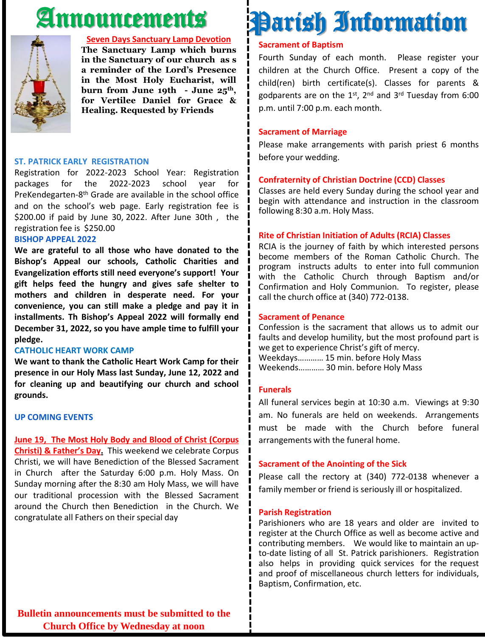# Announcements



#### **Seven Days Sanctuary Lamp Devotion**

**The Sanctuary Lamp which burns in the Sanctuary of our church as s a reminder of the Lord's Presence in the Most Holy Eucharist, will burn from June 19th - June 25th, for Vertilee Daniel for Grace & Healing. Requested by Friends**

#### **ST. PATRICK EARLY REGISTRATION**

Registration for 2022-2023 School Year: Registration packages for the 2022-2023 school year for PreKendegarten-8<sup>th</sup> Grade are available in the school office and on the school's web page. Early registration fee is \$200.00 if paid by June 30, 2022. After June 30th , the registration fee is \$250.00

#### **BISHOP APPEAL 2022**

**We are grateful to all those who have donated to the Bishop's Appeal our schools, Catholic Charities and Evangelization efforts still need everyone's support! Your gift helps feed the hungry and gives safe shelter to mothers and children in desperate need. For your convenience, you can still make a pledge and pay it in installments. Th Bishop's Appeal 2022 will formally end December 31, 2022, so you have ample time to fulfill your pledge.**

#### **CATHOLIC HEART WORK CAMP**

**We want to thank the Catholic Heart Work Camp for their presence in our Holy Mass last Sunday, June 12, 2022 and for cleaning up and beautifying our church and school grounds.**

### **UP COMING EVENTS**

**June 19, The Most Holy Body and Blood of Christ (Corpus Christi) & Father's Day.** This weekend we celebrate Corpus Christi, we will have Benediction of the Blessed Sacrament in Church after the Saturday 6:00 p.m. Holy Mass. On Sunday morning after the 8:30 am Holy Mass, we will have our traditional procession with the Blessed Sacrament around the Church then Benediction in the Church. We congratulate all Fathers on their special day

## children at the Church Office. Present a copy of the child(ren) birth certificate(s). Classes for parents & godparents are on the 1st, 2<sup>nd</sup> and 3<sup>rd</sup> Tuesday from 6:00

p.m. until 7:00 p.m. each month.

#### **Sacrament of Marriage**

**Sacrament of Baptism**

Please make arrangements with parish priest 6 months before your wedding.

Fourth Sunday of each month. Please register your

Parish Information

### **Confraternity of Christian Doctrine (CCD) Classes**

Classes are held every Sunday during the school year and begin with attendance and instruction in the classroom following 8:30 a.m. Holy Mass.

#### **Rite of Christian Initiation of Adults (RCIA) Classes**

RCIA is the journey of faith by which interested persons become members of the Roman Catholic Church. The program instructs adults to enter into full communion with the Catholic Church through Baptism and/or Confirmation and Holy Communion. To register, please call the church office at (340) 772-0138.

#### **Sacrament of Penance**

Confession is the sacrament that allows us to admit our faults and develop humility, but the most profound part is we get to experience Christ's gift of mercy. Weekdays………… 15 min. before Holy Mass Weekends………… 30 min. before Holy Mass

#### **Funerals**

All funeral services begin at 10:30 a.m. Viewings at 9:30 am. No funerals are held on weekends. Arrangements must be made with the Church before funeral arrangements with the funeral home.

#### **Sacrament of the Anointing of the Sick**

Please call the rectory at (340) 772-0138 whenever a family member or friend is seriously ill or hospitalized.

#### **Parish Registration**

Parishioners who are 18 years and older are invited to register at the Church Office as well as become active and contributing members. We would like to maintain an upto-date listing of all St. Patrick parishioners. Registration also helps in providing quick services for the request and proof of miscellaneous church letters for individuals, Baptism, Confirmation, etc.

**Bulletin announcements must be submitted to the Church Office by Wednesday at noon**